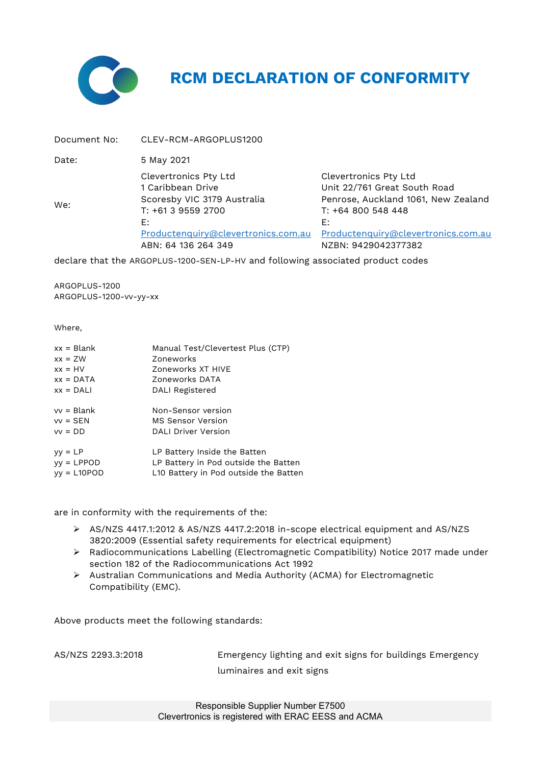

## **RCM DECLARATION OF CONFORMITY**

| Document No: | CLEV-RCM-ARGOPLUS1200                                                                                                                                               |                                                                                                                                                                                        |
|--------------|---------------------------------------------------------------------------------------------------------------------------------------------------------------------|----------------------------------------------------------------------------------------------------------------------------------------------------------------------------------------|
| Date:        | 5 May 2021                                                                                                                                                          |                                                                                                                                                                                        |
| We:          | Clevertronics Pty Ltd<br>1 Caribbean Drive<br>Scoresby VIC 3179 Australia<br>T: +61 3 9559 2700<br>E:<br>Productenquiry@clevertronics.com.au<br>ABN: 64 136 264 349 | Clevertronics Pty Ltd<br>Unit 22/761 Great South Road<br>Penrose, Auckland 1061, New Zealand<br>T: +64 800 548 448<br>E:<br>Productenquiry@clevertronics.com.au<br>NZBN: 9429042377382 |

declare that the ARGOPLUS-1200-SEN-LP-HV and following associated product codes

ARGOPLUS-1200 ARGOPLUS-1200-vv-yy-xx

Where,

| $xx = Blank$  | Manual Test/Clevertest Plus (CTP)     |
|---------------|---------------------------------------|
| $xx = ZW$     | Zoneworks                             |
| $xx = HV$     | Zoneworks XT HIVE                     |
| $xx = DATA$   | Zoneworks DATA                        |
| $xx = DALI$   | DALI Registered                       |
| $vv = Blank$  | Non-Sensor version                    |
| $vv =$ SEN    | <b>MS Sensor Version</b>              |
| $vv = DD$     | <b>DALI Driver Version</b>            |
| $yy = LP$     | LP Battery Inside the Batten          |
| $yy = LPPOD$  | LP Battery in Pod outside the Batten  |
| $yy = L10POD$ | L10 Battery in Pod outside the Batten |

are in conformity with the requirements of the:

- AS/NZS 4417.1:2012 & AS/NZS 4417.2:2018 in-scope electrical equipment and AS/NZS 3820:2009 (Essential safety requirements for electrical equipment)
- Radiocommunications Labelling (Electromagnetic Compatibility) Notice 2017 made under section 182 of the Radiocommunications Act 1992
- Australian Communications and Media Authority (ACMA) for Electromagnetic Compatibility (EMC).

Above products meet the following standards:

AS/NZS 2293.3:2018 Emergency lighting and exit signs for buildings Emergency luminaires and exit signs

> Responsible Supplier Number E7500 Clevertronics is registered with ERAC EESS and ACMA